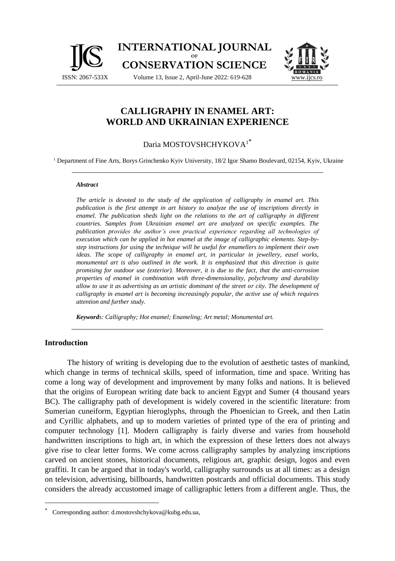



# **CALLIGRAPHY IN ENAMEL ART: WORLD AND UKRAINIAN EXPERIENCE**

## Daria MOSTOVSHCHYKOVA<sup>1</sup>\*

<sup>1</sup> Department of Fine Arts, Borys Grinchenko Kyiv University, 18/2 Igor Shamo Boulevard, 02154, Kyiv, Ukraine

#### *Abstract*

*The article is devoted to the study of the application of calligraphy in enamel art. This publication is the first attempt in art history to analyze the use of inscriptions directly in enamel. The publication sheds light on the relations to the art of calligraphy in different countries. Samples from Ukrainian enamel art are analyzed on specific examples. The publication provides the author's own practical experience regarding all technologies of execution which can be applied in hot enamel at the image of calligraphic elements. Step-bystep instructions for using the technique will be useful for enamellers to implement their own ideas. The scope of calligraphy in enamel art, in particular in jewellery, easel works, monumental art is also outlined in the work. It is emphasized that this direction is quite promising for outdoor use (exterior). Moreover, it is due to the fact, that the anti-corrosion properties of enamel in combination with three-dimensionality, polychromy and durability allow to use it as advertising as an artistic dominant of the street or city. The development of calligraphy in enamel art is becoming increasingly popular, the active use of which requires attention and further study.*

*Keywords: Calligraphy; Hot enamel; Enameling; Art metal; Monumental art.*

#### **Introduction**

The history of writing is developing due to the evolution of aesthetic tastes of mankind, which change in terms of technical skills, speed of information, time and space. Writing has come a long way of development and improvement by many folks and nations. It is believed that the origins of European writing date back to ancient Egypt and Sumer (4 thousand years BC). The calligraphy path of development is widely covered in the scientific literature: from Sumerian cuneiform, Egyptian hieroglyphs, through the Phoenician to Greek, and then Latin and Cyrillic alphabets, and up to modern varieties of printed type of the era of printing and computer technology [1]. Modern calligraphy is fairly diverse and varies from household handwritten inscriptions to high art, in which the expression of these letters does not always give rise to clear letter forms. We come across calligraphy samples by analyzing inscriptions carved on ancient stones, historical documents, religious art, graphic design, logos and even graffiti. It can be argued that in today's world, calligraphy surrounds us at all times: as a design on television, advertising, billboards, handwritten postcards and official documents. This study considers the already accustomed image of calligraphic letters from a different angle. Thus, the

Corresponding author: d.mostovshchykova@kubg.edu.ua,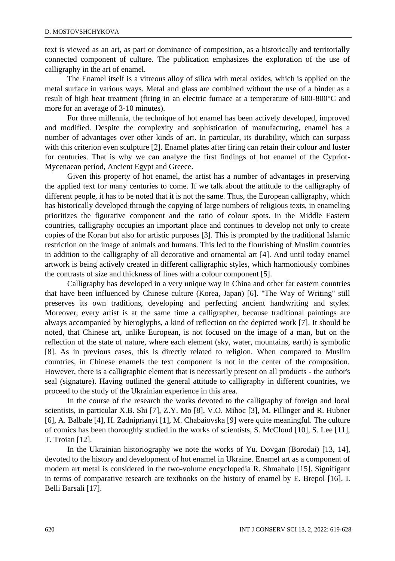text is viewed as an art, as part or dominance of composition, as a historically and territorially connected component of culture. The publication emphasizes the exploration of the use of calligraphy in the art of enamel.

The Enamel itself is a vitreous alloy of silica with metal oxides, which is applied on the metal surface in various ways. Metal and glass are combined without the use of a binder as a result of high heat treatment (firing in an electric furnace at a temperature of 600-800°C and more for an average of 3-10 minutes).

For three millennia, the technique of hot enamel has been actively developed, improved and modified. Despite the complexity and sophistication of manufacturing, enamel has a number of advantages over other kinds of art. In particular, its durability, which can surpass with this criterion even sculpture [2]. Enamel plates after firing can retain their colour and luster for centuries. That is why we can analyze the first findings of hot enamel of the Cypriot-Mycenaean period, Ancient Egypt and Greece.

Given this property of hot enamel, the artist has a number of advantages in preserving the applied text for many centuries to come. If we talk about the attitude to the calligraphy of different people, it has to be noted that it is not the same. Thus, the European calligraphy, which has historically developed through the copying of large numbers of religious texts, in enameling prioritizes the figurative component and the ratio of colour spots. In the Middle Eastern countries, calligraphy occupies an important place and continues to develop not only to create copies of the Koran but also for artistic purposes [3]. This is prompted by the traditional Islamic restriction on the image of animals and humans. This led to the flourishing of Muslim countries in addition to the calligraphy of all decorative and ornamental art [4]. And until today enamel artwork is being actively created in different calligraphic styles, which harmoniously combines the contrasts of size and thickness of lines with a colour component [5].

Calligraphy has developed in a very unique way in China and other far eastern countries that have been influenced by Chinese culture (Korea, Japan) [6]. "The Way of Writing" still preserves its own traditions, developing and perfecting ancient handwriting and styles. Moreover, every artist is at the same time a calligrapher, because traditional paintings are always accompanied by hieroglyphs, a kind of reflection on the depicted work [7]. It should be noted, that Chinese art, unlike European, is not focused on the image of a man, but on the reflection of the state of nature, where each element (sky, water, mountains, earth) is symbolic [8]. As in previous cases, this is directly related to religion. When compared to Muslim countries, in Chinese enamels the text component is not in the center of the composition. However, there is a calligraphic element that is necessarily present on all products - the author's seal (signature). Having outlined the general attitude to calligraphy in different countries, we proceed to the study of the Ukrainian experience in this area.

In the course of the research the works devoted to the calligraphy of foreign and local scientists, in particular X.B. Shi [7], Z.Y. Mo [8], V.O. Mihoc [3], M. Fillinger and R. Hubner [6], A. Balbale [4], H. Zadniprianyi [1], M. Chabaiovska [9] were quite meaningful. The culture of comics has been thoroughly studied in the works of scientists, S. McCloud [10], S. Lee [11], T. Troian [12].

In the Ukrainian historiography we note the works of Yu. Dovgan (Borodai) [13, 14], devoted to the history and development of hot enamel in Ukraine. Enamel art as a component of modern art metal is considered in the two-volume encyclopedia R. Shmahalo [15]. Signifigant in terms of comparative research are textbooks on the history of enamel by E. Brepol [16], I. Belli Barsali [17].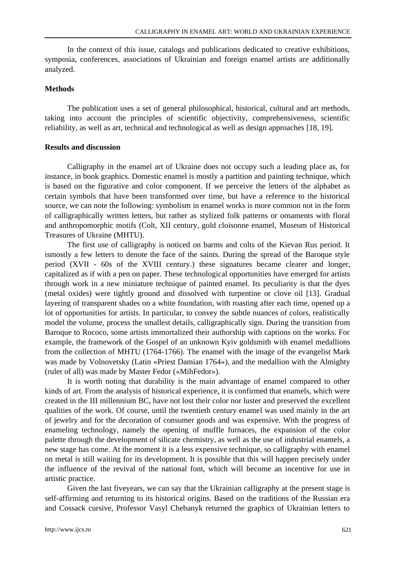In the context of this issue, catalogs and publications dedicated to creative exhibitions, symposia, conferences, associations of Ukrainian and foreign enamel artists are additionally analyzed.

#### **Methods**

The publication uses a set of general philosophical, historical, cultural and art methods, taking into account the principles of scientific objectivity, comprehensiveness, scientific reliability, as well as art, technical and technological as well as design approaches [18, 19].

#### **Results and discussion**

Calligraphy in the enamel art of Ukraine does not occupy such a leading place as, for instance, in book graphics. Domestic enamel is mostly a partition and painting technique, which is based on the figurative and color component. If we perceive the letters of the alphabet as certain symbols that have been transformed over time, but have a reference to the historical source, we can note the following: symbolism in enamel works is more common not in the form of calligraphically written letters, but rather as stylized folk patterns or ornaments with floral and anthropomorphic motifs (Colt, XII century, gold cloisonne enamel, Museum of Historical Treasures of Ukraine (MHTU).

The first use of calligraphy is noticed on barms and colts of the Kievan Rus period. It ismostly a few letters to denote the face of the saints. During the spread of the Baroque style period (XVII - 60s of the XVIII century.) these signatures became clearer and longer, capitalized as if with a pen on paper. These technological opportunities have emerged for artists through work in a new miniature technique of painted enamel. Its peculiarity is that the dyes (metal oxides) were tightly ground and dissolved with turpentine or clove oil [13]. Gradual layering of transparent shades on a white foundation, with roasting after each time, opened up a lot of opportunities for artists. In particular, to convey the subtle nuances of colors, realistically model the volume, process the smallest details, calligraphically sign. During the transition from Baroque to Rococo, some artists immortalized their authorship with captions on the works. For example, the framework of the Gospel of an unknown Kyiv goldsmith with enamel medallions from the collection of MHTU (1764-1766). The enamel with the image of the evangelist Mark was made by Volnovetsky (Latin «Priest Damian 1764»), and the medallion with the Almighty (ruler of all) was made by Master Fedor («MihFedor»).

It is worth noting that durability is the main advantage of enamel compared to other kinds of art. From the analysis of historical experience, it is confirmed that enamels, which were created in the III millennium BC, have not lost their color nor luster and preserved the excellent qualities of the work. Of course, until the twentieth century enamel was used mainly in the art of jewelry and for the decoration of consumer goods and was expensive. With the progress of enameling technology, namely the opening of muffle furnaces, the expansion of the color palette through the development of silicate chemistry, as well as the use of industrial enamels, a new stage has come. At the moment it is a less expensive technique, so calligraphy with enamel on metal is still waiting for its development. It is possible that this will happen precisely under the influence of the revival of the national font, which will become an incentive for use in artistic practice.

Given the last fiveyears, we can say that the Ukrainian calligraphy at the present stage is self-affirming and returning to its historical origins. Based on the traditions of the Russian era and Cossack cursive, Professor Vasyl Chebanyk returned the graphics of Ukrainian letters to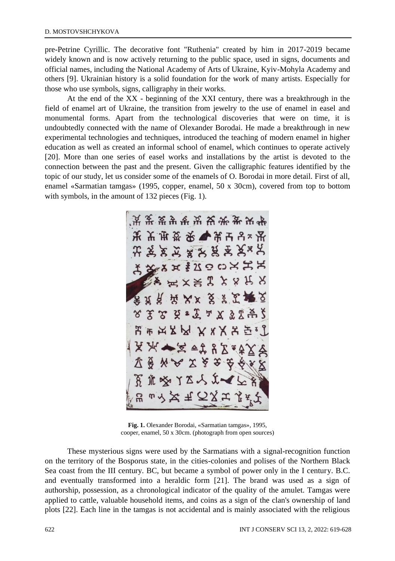pre-Petrine Cyrillic. The decorative font "Ruthenia" created by him in 2017-2019 became widely known and is now actively returning to the public space, used in signs, documents and official names, including the National Academy of Arts of Ukraine, Kyiv-Mohyla Academy and others [9]. Ukrainian history is a solid foundation for the work of many artists. Especially for those who use symbols, signs, calligraphy in their works.

At the end of the XX - beginning of the XXI century, there was a breakthrough in the field of enamel art of Ukraine, the transition from jewelry to the use of enamel in easel and monumental forms. Apart from the technological discoveries that were on time, it is undoubtedly connected with the name of Olexander Borodai. He made a breakthrough in new experimental technologies and techniques, introduced the teaching of modern enamel in higher education as well as created an informal school of enamel, which continues to operate actively [20]. More than one series of easel works and installations by the artist is devoted to the connection between the past and the present. Given the calligraphic features identified by the topic of our study, let us consider some of the enamels of O. Borodai in more detail. First of all, enamel «Sarmatian tamgas» (1995, copper, enamel, 50 x 30cm), covered from top to bottom with symbols, in the amount of 132 pieces (Fig. 1).



**Fig. 1.** Olexander Borodai, «Sarmatian tamgas», 1995, cooper, enamel, 50 x 30cm. (photograph from open sources)

These mysterious signs were used by the Sarmatians with a signal-recognition function on the territory of the Bosporus state, in the cities-colonies and polises of the Northern Black Sea coast from the III century. BC, but became a symbol of power only in the I century. B.C. and eventually transformed into a heraldic form [21]. The brand was used as a sign of authorship, possession, as a chronological indicator of the quality of the amulet. Tamgas were applied to cattle, valuable household items, and coins as a sign of the clan's ownership of land plots [22]. Each line in the tamgas is not accidental and is mainly associated with the religious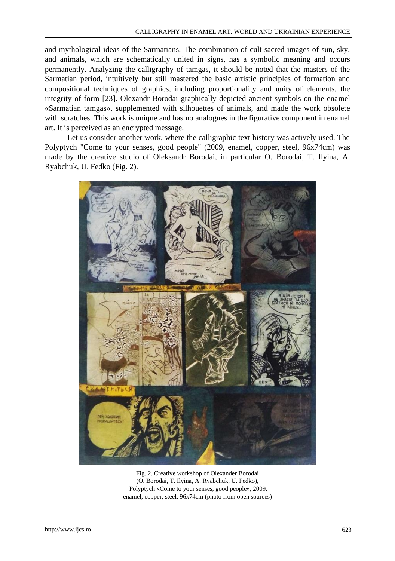and mythological ideas of the Sarmatians. The combination of cult sacred images of sun, sky, and animals, which are schematically united in signs, has a symbolic meaning and occurs permanently. Analyzing the calligraphy of tamgas, it should be noted that the masters of the Sarmatian period, intuitively but still mastered the basic artistic principles of formation and compositional techniques of graphics, including proportionality and unity of elements, the integrity of form [23]. Olexandr Borodai graphically depicted ancient symbols on the enamel «Sarmatian tamgas», supplemented with silhouettes of animals, and made the work obsolete with scratches. This work is unique and has no analogues in the figurative component in enamel art. It is perceived as an encrypted message.

Let us consider another work, where the calligraphic text history was actively used. The Polyptych "Come to your senses, good people" (2009, enamel, copper, steel, 96x74cm) was made by the creative studio of Oleksandr Borodai, in particular O. Borodai, T. Ilyina, A. Ryabchuk, U. Fedko (Fig. 2).



Fig. 2. Creative workshop of Olexander Borodai (O. Borodai, T. Ilyina, A. Ryabchuk, U. Fedko), Polyptych «Come to your senses, good people», 2009, enamel, copper, steel, 96x74cm (photo from open sources)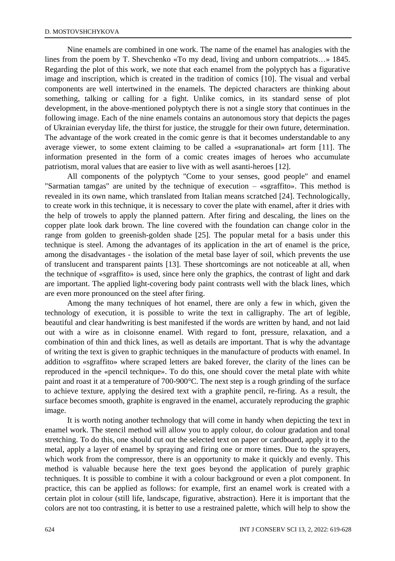Nine enamels are combined in one work. The name of the enamel has analogies with the lines from the poem by T. Shevchenko «To my dead, living and unborn compatriots…» 1845. Regarding the plot of this work, we note that each enamel from the polyptych has a figurative image and inscription, which is created in the tradition of comics [10]. The visual and verbal components are well intertwined in the enamels. The depicted characters are thinking about something, talking or calling for a fight. Unlike comics, in its standard sense of plot development, in the above-mentioned polyptych there is not a single story that continues in the following image. Each of the nine enamels contains an autonomous story that depicts the pages of Ukrainian everyday life, the thirst for justice, the struggle for their own future, determination. The advantage of the work created in the comic genre is that it becomes understandable to any average viewer, to some extent claiming to be called a «supranational» art form [11]. The information presented in the form of a comic creates images of heroes who accumulate patriotism, moral values that are easier to live with as well asanti-heroes [12].

All components of the polyptych "Come to your senses, good people" and enamel "Sarmatian tamgas" are united by the technique of execution – «sgraffito». This method is revealed in its own name, which translated from Italian means scratched [24]. Technologically, to create work in this technique, it is necessary to cover the plate with enamel, after it dries with the help of trowels to apply the planned pattern. After firing and descaling, the lines on the copper plate look dark brown. The line covered with the foundation can change color in the range from golden to greenish-golden shade [25]. The popular metal for a basis under this technique is steel. Among the advantages of its application in the art of enamel is the price, among the disadvantages - the isolation of the metal base layer of soil, which prevents the use of translucent and transparent paints [13]. These shortcomings are not noticeable at all, when the technique of «sgraffito» is used, since here only the graphics, the contrast of light and dark are important. The applied light-covering body paint contrasts well with the black lines, which are even more pronounced on the steel after firing.

Among the many techniques of hot enamel, there are only a few in which, given the technology of execution, it is possible to write the text in calligraphy. The art of legible, beautiful and clear handwriting is best manifested if the words are written by hand, and not laid out with a wire as in cloisonne enamel. With regard to font, pressure, relaxation, and a combination of thin and thick lines, as well as details are important. That is why the advantage of writing the text is given to graphic techniques in the manufacture of products with enamel. In addition to «sgraffito» where scraped letters are baked forever, the clarity of the lines can be reproduced in the «pencil technique». To do this, one should cover the metal plate with white paint and roast it at a temperature of 700-900°C. The next step is a rough grinding of the surface to achieve texture, applying the desired text with a graphite pencil, re-firing. As a result, the surface becomes smooth, graphite is engraved in the enamel, accurately reproducing the graphic image.

It is worth noting another technology that will come in handy when depicting the text in enamel work. The stencil method will allow you to apply colour, do colour gradation and tonal stretching. To do this, one should cut out the selected text on paper or cardboard, apply it to the metal, apply a layer of enamel by spraying and firing one or more times. Due to the sprayers, which work from the compressor, there is an opportunity to make it quickly and evenly. This method is valuable because here the text goes beyond the application of purely graphic techniques. It is possible to combine it with a colour background or even a plot component. In practice, this can be applied as follows: for example, first an enamel work is created with a certain plot in colour (still life, landscape, figurative, abstraction). Here it is important that the colors are not too contrasting, it is better to use a restrained palette, which will help to show the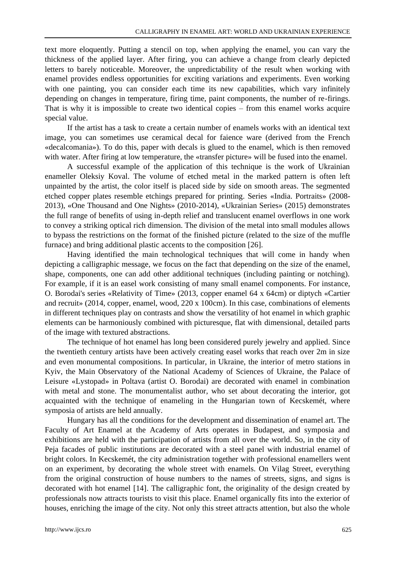text more eloquently. Putting a stencil on top, when applying the enamel, you can vary the thickness of the applied layer. After firing, you can achieve a change from clearly depicted letters to barely noticeable. Moreover, the unpredictability of the result when working with enamel provides endless opportunities for exciting variations and experiments. Even working with one painting, you can consider each time its new capabilities, which vary infinitely depending on changes in temperature, firing time, paint components, the number of re-firings. That is why it is impossible to create two identical copies – from this enamel works acquire special value.

If the artist has a task to create a certain number of enamels works with an identical text image, you can sometimes use ceramical decal for faience ware (derived from the French «decalcomania»). To do this, paper with decals is glued to the enamel, which is then removed with water. After firing at low temperature, the «transfer picture» will be fused into the enamel.

A successful example of the application of this technique is the work of Ukrainian enameller Oleksiy Koval. The volume of etched metal in the marked pattern is often left unpainted by the artist, the color itself is placed side by side on smooth areas. The segmented etched copper plates resemble etchings prepared for printing. Series «India. Portraits» (2008- 2013), «One Thousand and One Nights» (2010-2014), «Ukrainian Series» (2015) demonstrates the full range of benefits of using in-depth relief and translucent enamel overflows in one work to convey a striking optical rich dimension. The division of the metal into small modules allows to bypass the restrictions on the format of the finished picture (related to the size of the muffle furnace) and bring additional plastic accents to the composition [26].

Having identified the main technological techniques that will come in handy when depicting a calligraphic message, we focus on the fact that depending on the size of the enamel, shape, components, one can add other additional techniques (including painting or notching). For example, if it is an easel work consisting of many small enamel components. For instance, O. Borodai's series «Relativity of Time» (2013, copper enamel 64 x 64cm) or diptych «Cartier and recruit» (2014, copper, enamel, wood, 220 x 100cm). In this case, combinations of elements in different techniques play on contrasts and show the versatility of hot enamel in which graphic elements can be harmoniously combined with picturesque, flat with dimensional, detailed parts of the image with textured abstractions.

The technique of hot enamel has long been considered purely jewelry and applied. Since the twentieth century artists have been actively creating easel works that reach over 2m in size and even monumental compositions. In particular, in Ukraine, the interior of metro stations in Kyiv, the Main Observatory of the National Academy of Sciences of Ukraine, the Palace of Leisure «Lystopad» in Poltava (artist O. Borodai) are decorated with enamel in combination with metal and stone. The monumentalist author, who set about decorating the interior, got acquainted with the technique of enameling in the Hungarian town of Kecskemét, where symposia of artists are held annually.

Hungary has all the conditions for the development and dissemination of enamel art. The Faculty of Art Enamel at the Academy of Arts operates in Budapest, and symposia and exhibitions are held with the participation of artists from all over the world. So, in the city of Peja facades of public institutions are decorated with a steel panel with industrial enamel of bright colors. In Kecskemét, the city administration together with professional enamellers went on an experiment, by decorating the whole street with enamels. On Vilag Street, everything from the original construction of house numbers to the names of streets, signs, and signs is decorated with hot enamel [14]. The calligraphic font, the originality of the design created by professionals now attracts tourists to visit this place. Enamel organically fits into the exterior of houses, enriching the image of the city. Not only this street attracts attention, but also the whole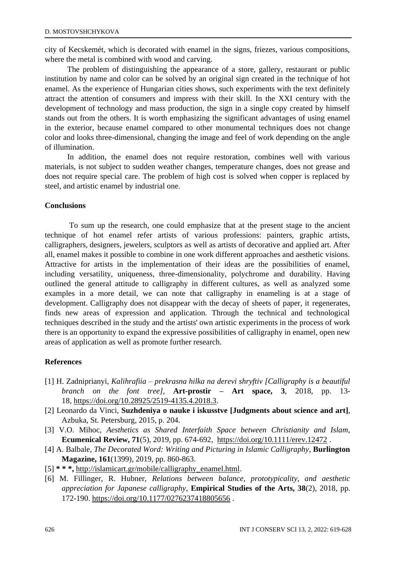city of Kecskemét, which is decorated with enamel in the signs, friezes, various compositions, where the metal is combined with wood and carving.

The problem of distinguishing the appearance of a store, gallery, restaurant or public institution by name and color can be solved by an original sign created in the technique of hot enamel. As the experience of Hungarian cities shows, such experiments with the text definitely attract the attention of consumers and impress with their skill. In the XXI century with the development of technology and mass production, the sign in a single copy created by himself stands out from the others. It is worth emphasizing the significant advantages of using enamel in the exterior, because enamel compared to other monumental techniques does not change color and looks three-dimensional, changing the image and feel of work depending on the angle of illumination.

In addition, the enamel does not require restoration, combines well with various materials, is not subject to sudden weather changes, temperature changes, does not grease and does not require special care. The problem of high cost is solved when copper is replaced by steel, and artistic enamel by industrial one.

#### **Conclusions**

To sum up the research, one could emphasize that at the present stage to the ancient technique of hot enamel refer artists of various professions: painters, graphic artists, calligraphers, designers, jewelers, sculptors as well as artists of decorative and applied art. After all, enamel makes it possible to combine in one work different approaches and aesthetic visions. Attractive for artists in the implementation of their ideas are the possibilities of enamel, including versatility, uniqueness, three-dimensionality, polychrome and durability. Having outlined the general attitude to calligraphy in different cultures, as well as analyzed some examples in a more detail, we can note that calligraphy in enameling is at a stage of development. Calligraphy does not disappear with the decay of sheets of paper, it regenerates, finds new areas of expression and application. Through the technical and technological techniques described in the study and the artists' own artistic experiments in the process of work there is an opportunity to expand the expressive possibilities of calligraphy in enamel, open new areas of application as well as promote further research.

### **References**

- [1] H. Zadniprianyi, *Kalihrafiia – prekrasna hilka na derevi shryftiv [Calligraphy is a beautiful branch on the font tree]*, **Art-prostir – Art space, 3**, 2018, pp. 13- 18, [https://doi.org/10.28925/2519-4135.4.2018.3.](https://doi.org/10.28925/2519-4135.4.2018.3)
- [2] Leonardo da Vinci, **Suzhdeniya o nauke i iskusstve [Judgments about science and art]**, Azbuka, St. Petersburg, 2015, p. 204.
- [3] V.O. Mihoc, *Aesthetics as Shared Interfaith Space between Christianity and Islam*, **Ecumenical Review, 71**(5), 2019, pp. 674-692, <https://doi.org/10.1111/erev.12472> .
- [4] A. Balbale, *The Decorated Word: Writing and Picturing in Islamic Calligraphy*, **Burlington Magazine, 161**(1399), 2019, pp. 860-863.
- [5] **\* \* \*,** [http://islamicart.gr/mobile/calligraphy\\_enamel.html.](http://islamicart.gr/mobile/calligraphy_enamel.html)
- [6] M. Fillinger, R. Hubner, *Relations between balance, prototypicality, and aesthetic appreciation for Japanese calligraphy*, **Empirical Studies of the Arts, 38**(2), 2018, pp. 172-190. <https://doi.org/10.1177/0276237418805656> .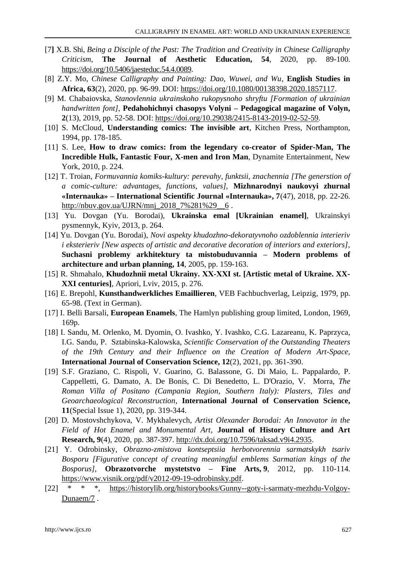- [7**]** X.B. Shi, *Being a Disciple of the Past: The Tradition and Creativity in Chinese Calligraphy Criticism*, **The Journal of Aesthetic Education, 54**, 2020, pp. 89-100. [https://doi.org/10.5406/jaesteduc.54.4.0089.](https://doi.org/10.5406/jaesteduc.54.4.0089)
- [8] Z.Y. Mo, *Chinese Calligraphy and Painting: Dao, Wuwei, and Wu*, **English Studies in Africa, 63**(2), 2020, pp. 96-99. DOI: [https://doi.org/10.1080/00138398.2020.1857117.](https://doi.org/10.1080/00138398.2020.1857117)
- [9] M. Chabaiovska, *Stanovlennia ukrainskoho rukopysnoho shryftu [Formation of ukrainian handwritten font]*, **Pedahohichnyi chasopys Volyni – Pedagogical magazine of Volyn, 2**(13), 2019, pp. 52-58. DOI: [https://doi.org/10.29038/2415-8143-2019-02-52-59.](https://doi.org/10.29038/2415-8143-2019-02-52-59)
- [10] S. McCloud, **Understanding comics: The invisible art**, Kitchen Press, Northampton, 1994, pp. 178-185.
- [11] S. Lee, **How to draw comics: from the legendary co-creator of Spider-Man, The Incredible Hulk, Fantastic Four, X-men and Iron Man**, Dynamite Entertainment, New York, 2010, p. 224.
- [12] T. Troian, *Formuvannia komiks-kultury: perevahy, funktsii, znachennia [The generstion of a comic-culture: advantages, functions, values]*, **Mizhnarodnyi naukovyi zhurnal «Internauka» – International Scientific Journal «Internauka», 7**(47), 2018, pp. 22-26. [http://nbuv.gov.ua/UJRN/mnj\\_2018\\_7%281%29\\_\\_6](http://www.irbis-nbuv.gov.ua/cgi-bin/irbis_nbuv/cgiirbis_64.exe?I21DBN=LINK&P21DBN=UJRN&Z21ID=&S21REF=10&S21CNR=20&S21STN=1&S21FMT=ASP_meta&C21COM=S&2_S21P03=FILA=&2_S21STR=mnj_2018_7%281%29__6).
- [13] Yu. Dovgan (Yu. Borodai), **Ukrainska emal [Ukrainian enamel]**, Ukrainskyi pysmennyk, Kyiv, 2013, p. 264.
- [14] Yu. Dovgan (Yu. Borodai), *Novi aspekty khudozhno-dekoratyvnoho ozdoblennia interieriv i eksterieriv [New aspects of artistic and decorative decoration of interiors and exteriors]*, **Suchasni problemy arkhitektury ta mistobuduvannia – Modern problems of architecture and urban planning, 14**, 2005, pp. 159-163.
- [15] R. Shmahalo, **Khudozhnii metal Ukrainy. ХХ-ХХІ st. [Artistic metal of Ukraine. XX-XXI centuries]**, Apriori, Lviv, 2015, p. 276.
- [16] E. Brepohl, **Kunsthandwerkliches Emaillieren**, VEB Fachbuchverlag, Leipzig, 1979, pp. 65-98. (Text in German).
- [17] I. Belli Barsali, **European Enamels**, The Hamlyn publishing group limited, London, 1969, 169p.
- [18] I. Sandu, M. Orlenko, M. Dyomin, O. Ivashko, Y. Ivashko, C.G. Lazareanu, K. Paprzyca, I.G. Sandu, P. Sztabinska-Kalowska, *Scientific Conservation of the Outstanding Theaters of the 19th Century and their Influence on the Creation of Modern Art-Space,*  **International Journal of Conservation Science, 12**(2), 2021, pp. 361-390.
- [19] S.F. Graziano, C. Rispoli, V. Guarino, G. Balassone, G. Di Maio, L. Pappalardo, P. Cappelletti, G. Damato, A. De Bonis, C. Di Benedetto, L. D'Orazio, V. Morra, *The Roman Villa of Positano (Campania Region, Southern Italy): Plasters, Tiles and Geoarchaeological Reconstruction,* **International Journal of Conservation Science, 11**(Special Issue 1), 2020, pp. 319-344.
- [20] D. Mostovshchykova, V. Mykhalevych, *Artist Olexander Borodai: An Innovator in the Field of Hot Enamel and Monumental Art*, **Journal of History Culture and Art Research, 9**(4), 2020, pp. 387-397. [http://dx.doi.org/10.7596/taksad.v9i4.2935.](http://dx.doi.org/10.7596/taksad.v9i4.2935)
- [21] Y. Odrobinsky, *Obrazno-zmistova kontseptsiia herbotvorennia sarmatskykh tsariv Bosporu [Figurative concept of creating meaningful emblems Sarmatian kings of the Bosporus]*, **Obrazotvorche mystetstvo – Fine Arts, 9**, 2012, pp. 110-114. [https://www.visnik.org/pdf/v2012-09-19-odrobinsky.pdf.](https://www.visnik.org/pdf/v2012-09-19-odrobinsky.pdf)
- [22] \* \* \*, [https://historylib.org/historybooks/Gunny--goty-i-sarmaty-mezhdu-Volgoy-](https://historylib.org/historybooks/Gunny--goty-i-sarmaty-mezhdu-Volgoy-Dunaem/7)[Dunaem/7](https://historylib.org/historybooks/Gunny--goty-i-sarmaty-mezhdu-Volgoy-Dunaem/7) .